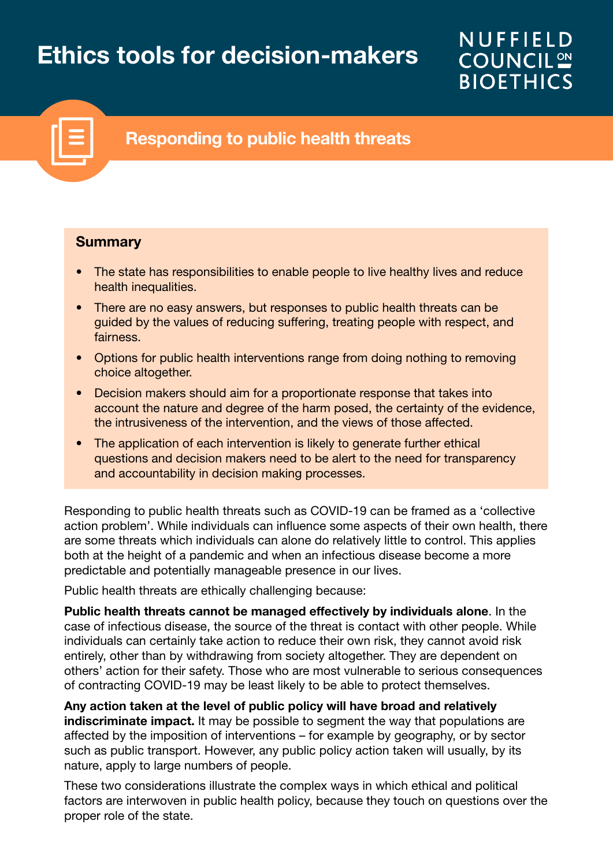# Ethics tools for decision-makers

# **NUFFIELD COUNCIL ON BIOETHICS**



# Responding to public health threats

#### **Summary**

- The state has responsibilities to enable people to live healthy lives and reduce health inequalities.
- There are no easy answers, but responses to public health threats can be guided by the values of reducing suffering, treating people with respect, and fairness.
- Options for public health interventions range from doing nothing to removing choice altogether.
- Decision makers should aim for a proportionate response that takes into account the nature and degree of the harm posed, the certainty of the evidence, the intrusiveness of the intervention, and the views of those affected.
- The application of each intervention is likely to generate further ethical questions and decision makers need to be alert to the need for transparency and accountability in decision making processes.

Responding to public health threats such as COVID-19 can be framed as a 'collective action problem'. While individuals can influence some aspects of their own health, there are some threats which individuals can alone do relatively little to control. This applies both at the height of a pandemic and when an infectious disease become a more predictable and potentially manageable presence in our lives.

Public health threats are ethically challenging because:

Public health threats cannot be managed effectively by individuals alone. In the case of infectious disease, the source of the threat is contact with other people. While individuals can certainly take action to reduce their own risk, they cannot avoid risk entirely, other than by withdrawing from society altogether. They are dependent on others' action for their safety. Those who are most vulnerable to serious consequences of contracting COVID-19 may be least likely to be able to protect themselves.

Any action taken at the level of public policy will have broad and relatively indiscriminate impact. It may be possible to segment the way that populations are affected by the imposition of interventions – for example by geography, or by sector such as public transport. However, any public policy action taken will usually, by its nature, apply to large numbers of people.

These two considerations illustrate the complex ways in which ethical and political factors are interwoven in public health policy, because they touch on questions over the proper role of the state.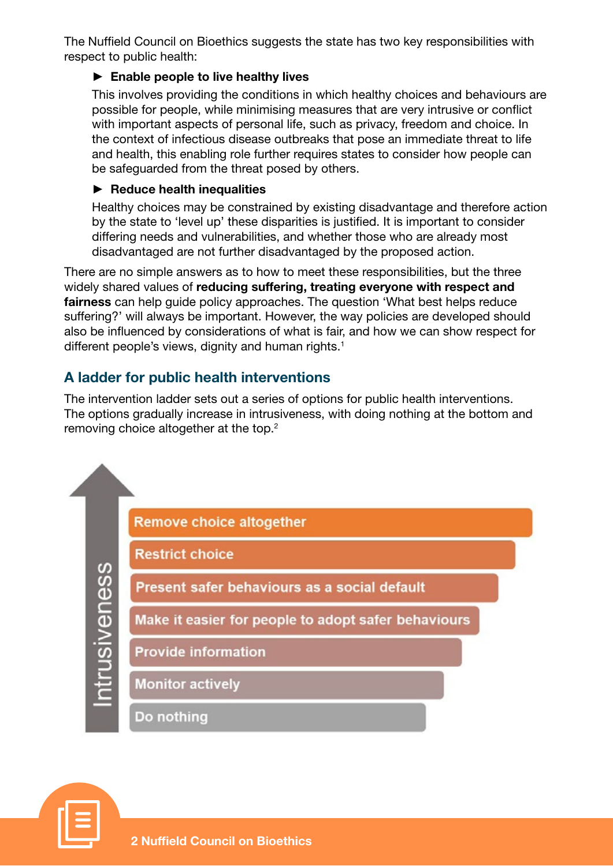The Nuffield Council on Bioethics suggests the state has two key responsibilities with respect to public health:

#### $\blacktriangleright$  Enable people to live healthy lives

This involves providing the conditions in which healthy choices and behaviours are possible for people, while minimising measures that are very intrusive or conflict with important aspects of personal life, such as privacy, freedom and choice. In the context of infectious disease outbreaks that pose an immediate threat to life and health, this enabling role further requires states to consider how people can be safeguarded from the threat posed by others.

#### $\blacktriangleright$  Reduce health inequalities

Healthy choices may be constrained by existing disadvantage and therefore action by the state to 'level up' these disparities is justified. It is important to consider differing needs and vulnerabilities, and whether those who are already most disadvantaged are not further disadvantaged by the proposed action.

There are no simple answers as to how to meet these responsibilities, but the three widely shared values of reducing suffering, treating everyone with respect and fairness can help quide policy approaches. The question 'What best helps reduce suffering?' will always be important. However, the way policies are developed should also be influenced by considerations of what is fair, and how we can show respect for different people's views, dignity and human rights.<sup>1</sup>

## A ladder for public health interventions

The intervention ladder sets out a series of options for public health interventions. The options gradually increase in intrusiveness, with doing nothing at the bottom and removing choice altogether at the top.<sup>2</sup>



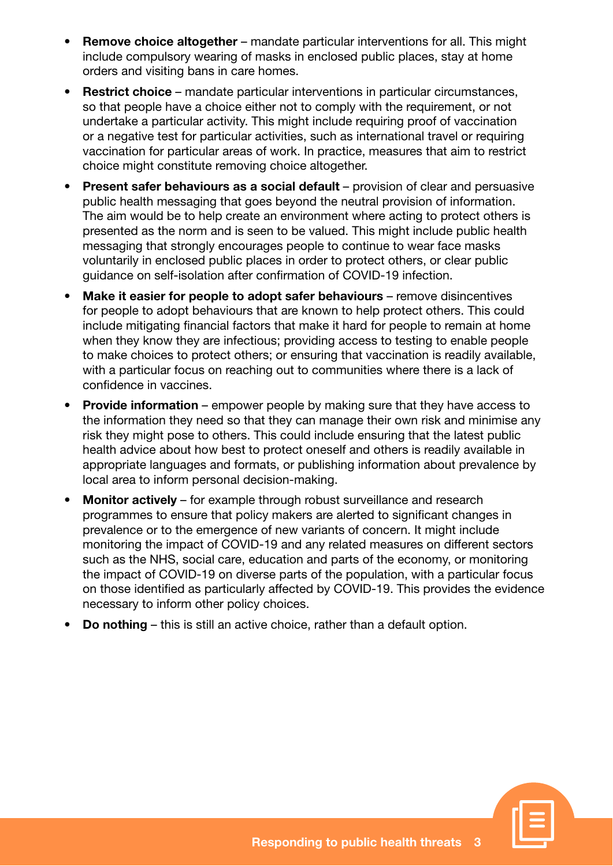- **Remove choice altogether** mandate particular interventions for all. This might include compulsory wearing of masks in enclosed public places, stay at home orders and visiting bans in care homes.
- Restrict choice mandate particular interventions in particular circumstances, so that people have a choice either not to comply with the requirement, or not undertake a particular activity. This might include requiring proof of vaccination or a negative test for particular activities, such as international travel or requiring vaccination for particular areas of work. In practice, measures that aim to restrict choice might constitute removing choice altogether.
- **Present safer behaviours as a social default** provision of clear and persuasive public health messaging that goes beyond the neutral provision of information. The aim would be to help create an environment where acting to protect others is presented as the norm and is seen to be valued. This might include public health messaging that strongly encourages people to continue to wear face masks voluntarily in enclosed public places in order to protect others, or clear public guidance on self-isolation after confirmation of COVID-19 infection.
- Make it easier for people to adopt safer behaviours remove disincentives for people to adopt behaviours that are known to help protect others. This could include mitigating financial factors that make it hard for people to remain at home when they know they are infectious; providing access to testing to enable people to make choices to protect others; or ensuring that vaccination is readily available, with a particular focus on reaching out to communities where there is a lack of confidence in vaccines.
- **Provide information** empower people by making sure that they have access to the information they need so that they can manage their own risk and minimise any risk they might pose to others. This could include ensuring that the latest public health advice about how best to protect oneself and others is readily available in appropriate languages and formats, or publishing information about prevalence by local area to inform personal decision-making.
- Monitor actively for example through robust surveillance and research programmes to ensure that policy makers are alerted to significant changes in prevalence or to the emergence of new variants of concern. It might include monitoring the impact of COVID-19 and any related measures on different sectors such as the NHS, social care, education and parts of the economy, or monitoring the impact of COVID-19 on diverse parts of the population, with a particular focus on those identified as particularly affected by COVID-19. This provides the evidence necessary to inform other policy choices.
- Do nothing this is still an active choice, rather than a default option.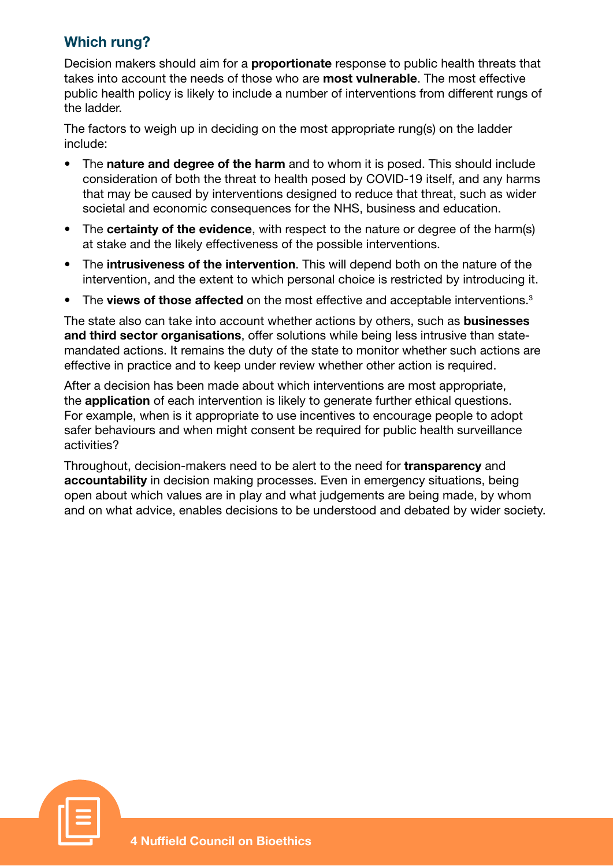### Which rung?

Decision makers should aim for a **proportionate** response to public health threats that takes into account the needs of those who are **most vulnerable**. The most effective public health policy is likely to include a number of interventions from different rungs of the ladder.

The factors to weigh up in deciding on the most appropriate rung(s) on the ladder include:

- The nature and degree of the harm and to whom it is posed. This should include consideration of both the threat to health posed by COVID-19 itself, and any harms that may be caused by interventions designed to reduce that threat, such as wider societal and economic consequences for the NHS, business and education.
- The certainty of the evidence, with respect to the nature or degree of the harm(s) at stake and the likely effectiveness of the possible interventions.
- The intrusiveness of the intervention. This will depend both on the nature of the intervention, and the extent to which personal choice is restricted by introducing it.
- The views of those affected on the most effective and acceptable interventions. $3$

The state also can take into account whether actions by others, such as **businesses** and third sector organisations, offer solutions while being less intrusive than statemandated actions. It remains the duty of the state to monitor whether such actions are effective in practice and to keep under review whether other action is required.

After a decision has been made about which interventions are most appropriate, the application of each intervention is likely to generate further ethical questions. For example, when is it appropriate to use incentives to encourage people to adopt safer behaviours and when might consent be required for public health surveillance activities?

Throughout, decision-makers need to be alert to the need for **transparency** and accountability in decision making processes. Even in emergency situations, being open about which values are in play and what judgements are being made, by whom and on what advice, enables decisions to be understood and debated by wider society.